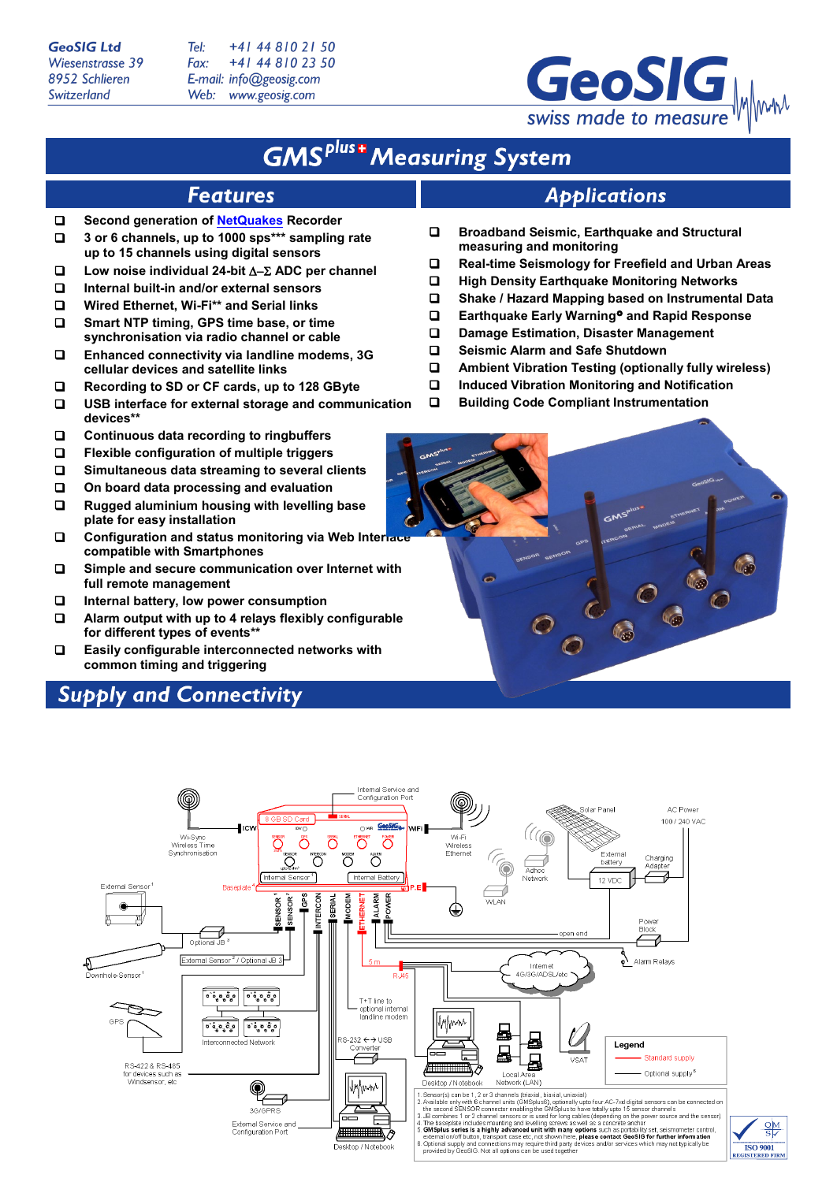**GeoSIG Ltd** Wiesenstrasse 39 8952 Schlieren Switzerland

Tel: +41 44 810 21 50 Fax: +41 44 810 23 50 E-mail: info@geosig.com Web: www.geosig.com



# **GMS**<sup>plus+</sup> Measuring System

### **Applications**

- **Broadband Seismic, Earthquake and Structural measuring and monitoring**
- **Real-time Seismology for Freefield and Urban Areas**
- **High Density Earthquake Monitoring Networks**
- **Shake / Hazard Mapping based on Instrumental Data**
- **Earthquake Early Warning and Rapid Response**
- **Damage Estimation, Disaster Management**
- **Seismic Alarm and Safe Shutdown**
- **Ambient Vibration Testing (optionally fully wireless)**
- **Induced Vibration Monitoring and Notification**
- **Building Code Compliant Instrumentation**

 **3 or 6 channels, up to 1000 sps\*\*\* sampling rate up to 15 channels using digital sensors**

**Second generation o[f NetQuakes](http://earthquake.usgs.gov/monitoring/netquakes/) Recorder**

**Low noise individual 24-bit** ∆−Σ **ADC per channel**

**Features** 

- **Internal built-in and/or external sensors**
- **Wired Ethernet, Wi-Fi\*\* and Serial links**
- $\square$  Smart NTP timing, GPS time base, or time **synchronisation via radio channel or cable**
- **Enhanced connectivity via landline modems, 3G cellular devices and satellite links**
- **Recording to SD or CF cards, up to 128 GByte**
- **USB interface for external storage and communication devices\*\***
- **Continuous data recording to ringbuffers**
- **Flexible configuration of multiple triggers**
- **Simultaneous data streaming to several clients**
- **On board data processing and evaluation**
- **Rugged aluminium housing with levelling base plate for easy installation**
- **Configuration and status monitoring via Web Interface compatible with Smartphones**
- **Simple and secure communication over Internet with full remote management**
- **Internal battery, low power consumption**
- **Alarm output with up to 4 relays flexibly configurable for different types of events\*\***
- **Easily configurable interconnected networks with common timing and triggering**

## **Supply and Connectivity**



 $\frac{QM}{S}$